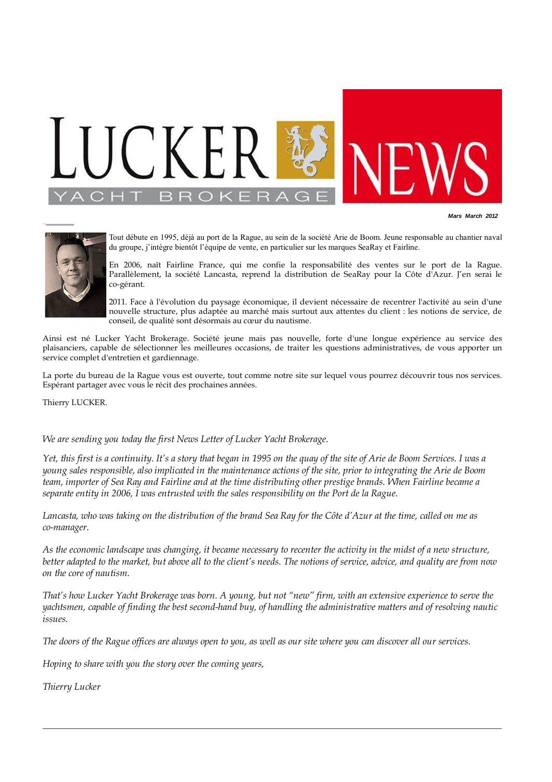

**Mars March 2012**



SourceBird://local/lucker.clients/golden/lucker/New/LyByachting/Webs/LyByachting/Webs/LyByachting/Web

Tout débute en 1995, déjà au port de la Rague, au sein de la société Arie de Boom. Jeune responsable au chantier naval du groupe, j'intègre bientôt l'équipe de vente, en particulier sur les marques SeaRay et Fairline.

En 2006, naît Fairline France, qui me confie la responsabilité des ventes sur le port de la Rague. Parallèlement, la société Lancasta, reprend la distribution de SeaRay pour la Côte d'Azur. J'en serai le co-gérant.

2011. Face à l'évolution du paysage économique, il devient nécessaire de recentrer l'activité au sein d'une nouvelle structure, plus adaptée au marché mais surtout aux attentes du client : les notions de service, de conseil, de qualité sont désormais au cœur du nautisme.

Ainsi est né Lucker Yacht Brokerage. Société jeune mais pas nouvelle, forte d'une longue expérience au service des plaisanciers, capable de sélectionner les meilleures occasions, de traiter les questions administratives, de vous apporter un service complet d'entretien et gardiennage.

La porte du bureau de la Rague vous est ouverte, tout comme notre site sur lequel vous pourrez découvrir tous nos services. Espérant partager avec vous le récit des prochaines années.

Thierry LUCKER.

*We are sending you today the first News Letter of Lucker Yacht Brokerage.*

*Yet, this first is a continuity. It's a story that began in 1995 on the quay of the site of Arie de Boom Services. I was a young sales responsible, also implicated in the maintenance actions of the site, prior to integrating the Arie de Boom team, importer of Sea Ray and Fairline and at the time distributing other prestige brands. When Fairline became a separate entity in 2006, I was entrusted with the sales responsibility on the Port de la Rague.*

*Lancasta, who was taking on the distribution of the brand Sea Ray for the Côte d'Azur at the time, called on me as co-manager.*

*As the economic landscape was changing, it became necessary to recenter the activity in the midst of a new structure, better adapted to the market, but above all to the client's needs. The notions of service, advice, and quality are from now on the core of nautism.*

*That's how Lucker Yacht Brokerage was born. A young, but not "new" firm, with an extensive experience to serve the yachtsmen, capable of finding the best second-hand buy, of handling the administrative matters and of resolving nautic issues.*

*The doors of the Rague offices are always open to you, as well as our site where you can discover all our services.*

*Hoping to share with you the story over the coming years,*

*Thierry Lucker*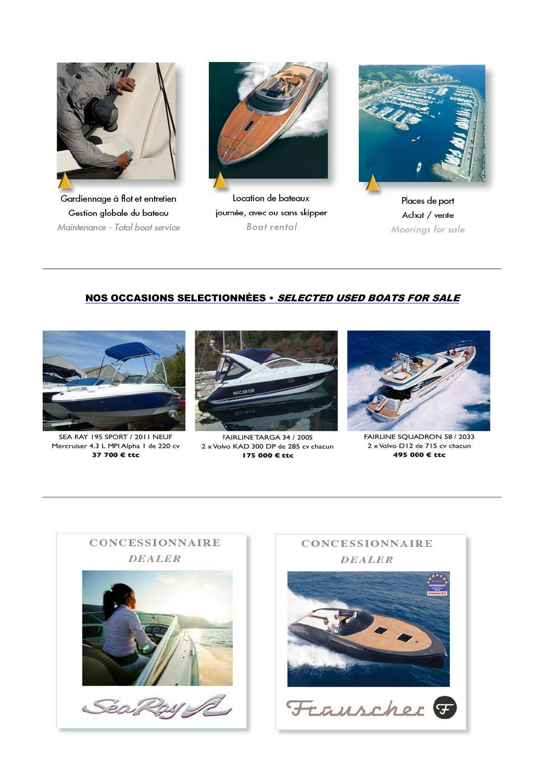

Gardiennage à flot et entretien Gestion globale du bateau Maintenance - Total boat service



Location de bateaux journée, avec ou sans skipper Boat rental



Places de port Achat / vente Moorings for sale

## NOS OCCASIONS SELECTIONNÉES · SELECTED USED BOATS FOR SALE



SEA RAY 195 SPORT / 2011 NEUF Mercruiser 4.3 L MPI Alpha 1 de 220 cv 37 700 € ttc



FAIRLINE TARGA 34 / 2005 2 x Volvo KAD 300 DP de 285 cv chacun 175 000 € ttc



FAIRLINE SQUADRON 58 / 2033 2 x Volvo D12 de 715 cv chacun 495 000 € ttc